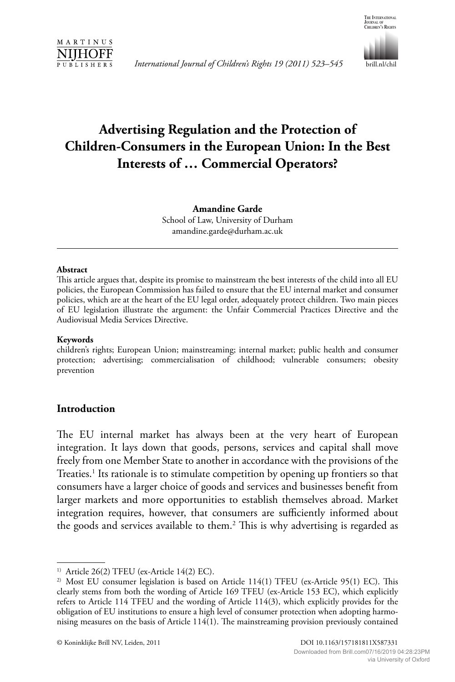



# **Advertising Regulation and the Protection of Children-Consumers in the European Union: In the Best Interests of … Commercial Operators?**

#### **Amandine Garde**

 School of Law, University of Durham amandine.garde@durham.ac.uk

#### **Abstract**

This article argues that, despite its promise to mainstream the best interests of the child into all EU policies, the European Commission has failed to ensure that the EU internal market and consumer policies, which are at the heart of the EU legal order, adequately protect children. Two main pieces of EU legislation illustrate the argument: the Unfair Commercial Practices Directive and the Audiovisual Media Services Directive.

#### **Keywords**

children's rights; European Union; mainstreaming; internal market; public health and consumer protection; advertising; commercialisation of childhood; vulnerable consumers; obesity prevention

### **Introduction**

The EU internal market has always been at the very heart of European integration. It lays down that goods, persons, services and capital shall move freely from one Member State to another in accordance with the provisions of the Treaties.<sup>1</sup> Its rationale is to stimulate competition by opening up frontiers so that consumers have a larger choice of goods and services and businesses benefit from larger markets and more opportunities to establish themselves abroad. Market integration requires, however, that consumers are sufficiently informed about the goods and services available to them.<sup>2</sup> This is why advertising is regarded as

<sup>&</sup>lt;sup>1)</sup> Article 26(2) TFEU (ex-Article 14(2) EC).

 $2)$  Most EU consumer legislation is based on Article 114(1) TFEU (ex-Article 95(1) EC). This clearly stems from both the wording of Article 169 TFEU (ex-Article 153 EC), which explicitly refers to Article 114 TFEU and the wording of Article 114(3), which explicitly provides for the obligation of EU institutions to ensure a high level of consumer protection when adopting harmonising measures on the basis of Article 114(1). The mainstreaming provision previously contained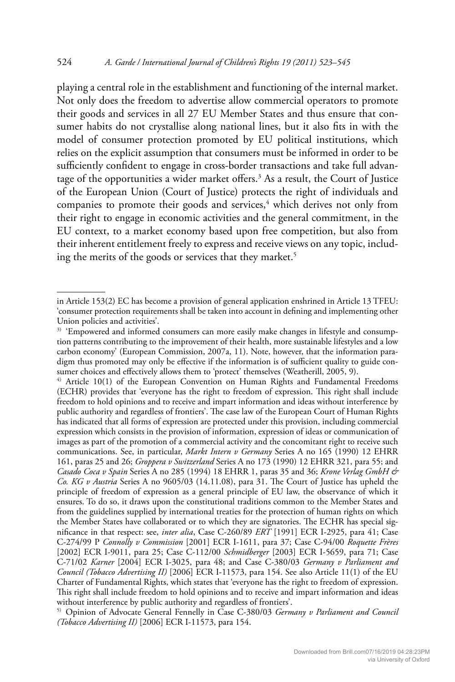playing a central role in the establishment and functioning of the internal market. Not only does the freedom to advertise allow commercial operators to promote their goods and services in all 27 EU Member States and thus ensure that consumer habits do not crystallise along national lines, but it also fits in with the model of consumer protection promoted by EU political institutions, which relies on the explicit assumption that consumers must be informed in order to be sufficiently confident to engage in cross-border transactions and take full advantage of the opportunities a wider market offers. $^3$  As a result, the Court of Justice of the European Union (Court of Justice) protects the right of individuals and companies to promote their goods and services,<sup>4</sup> which derives not only from their right to engage in economic activities and the general commitment, in the EU context, to a market economy based upon free competition, but also from their inherent entitlement freely to express and receive views on any topic, including the merits of the goods or services that they market.<sup>5</sup>

in Article 153(2) EC has become a provision of general application enshrined in Article 13 TFEU: 'consumer protection requirements shall be taken into account in defining and implementing other Union policies and activities'.

<sup>&</sup>lt;sup>3)</sup> 'Empowered and informed consumers can more easily make changes in lifestyle and consumption patterns contributing to the improvement of their health, more sustainable lifestyles and a low carbon economy' (European Commission, 2007a, 11). Note, however, that the information paradigm thus promoted may only be effective if the information is of sufficient quality to guide consumer choices and effectively allows them to 'protect' themselves (Weatherill, 2005, 9).

 <sup>4)</sup> Article 10(1) of the European Convention on Human Rights and Fundamental Freedoms (ECHR) provides that 'everyone has the right to freedom of expression. This right shall include freedom to hold opinions and to receive and impart information and ideas without interference by public authority and regardless of frontiers'. The case law of the European Court of Human Rights has indicated that all forms of expression are protected under this provision, including commercial expression which consists in the provision of information, expression of ideas or communication of images as part of the promotion of a commercial activity and the concomitant right to receive such communications. See, in particular, *Markt Intern v Germany* Series A no 165 (1990) 12 EHRR 161, paras 25 and 26; *Groppera v Switzerland* Series A no 173 (1990) 12 EHRR 321, para 55; and *Casado Coca v Spain* Series A no 285 (1994) 18 EHRR 1, paras 35 and 36; *Krone Verlag GmbH & Co. KG v Austria* Series A no 9605/03 (14.11.08), para 31. The Court of Justice has upheld the principle of freedom of expression as a general principle of EU law, the observance of which it ensures. To do so, it draws upon the constitutional traditions common to the Member States and from the guidelines supplied by international treaties for the protection of human rights on which the Member States have collaborated or to which they are signatories. The ECHR has special significance in that respect: see, *inter alia*, Case C-260/89 *ERT* [1991] ECR I-2925, para 41; Case C-274/99 P *Connolly v Commission* [2001] ECR I-1611, para 37; Case C-94/00 *Roquette Frères* [2002] ECR I-9011, para 25; Case C-112/00 *Schmidberger* [2003] ECR I-5659, para 71; Case C-71/02 *Karner* [2004] ECR I-3025, para 48; and Case C-380/03 *Germany v Parliament and Council (Tobacco Advertising II)* [2006] ECR I-11573, para 154. See also Article 11(1) of the EU Charter of Fundamental Rights, which states that 'everyone has the right to freedom of expression. This right shall include freedom to hold opinions and to receive and impart information and ideas without interference by public authority and regardless of frontiers'.

 <sup>5)</sup> Opinion of Advocate General Fennelly in Case C-380/03 *Germany v Parliament and Council (Tobacco Advertising II)* [2006] ECR I-11573, para 154.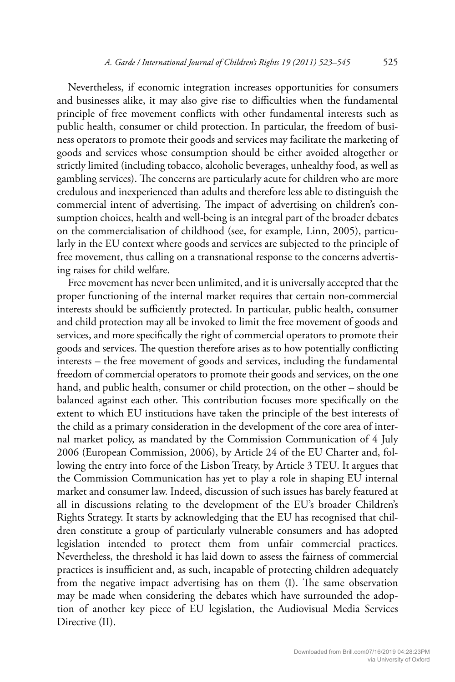Nevertheless, if economic integration increases opportunities for consumers and businesses alike, it may also give rise to difficulties when the fundamental principle of free movement conflicts with other fundamental interests such as public health, consumer or child protection. In particular, the freedom of business operators to promote their goods and services may facilitate the marketing of goods and services whose consumption should be either avoided altogether or strictly limited (including tobacco, alcoholic beverages, unhealthy food, as well as gambling services). The concerns are particularly acute for children who are more credulous and inexperienced than adults and therefore less able to distinguish the commercial intent of advertising. The impact of advertising on children's consumption choices, health and well-being is an integral part of the broader debates on the commercialisation of childhood (see, for example, Linn, 2005), particularly in the EU context where goods and services are subjected to the principle of free movement, thus calling on a transnational response to the concerns advertising raises for child welfare.

 Free movement has never been unlimited, and it is universally accepted that the proper functioning of the internal market requires that certain non-commercial interests should be sufficiently protected. In particular, public health, consumer and child protection may all be invoked to limit the free movement of goods and services, and more specifically the right of commercial operators to promote their goods and services. The question therefore arises as to how potentially conflicting interests – the free movement of goods and services, including the fundamental freedom of commercial operators to promote their goods and services, on the one hand, and public health, consumer or child protection, on the other – should be balanced against each other. This contribution focuses more specifically on the extent to which EU institutions have taken the principle of the best interests of the child as a primary consideration in the development of the core area of internal market policy, as mandated by the Commission Communication of 4 July 2006 (European Commission, 2006), by Article 24 of the EU Charter and, following the entry into force of the Lisbon Treaty, by Article 3 TEU. It argues that the Commission Communication has yet to play a role in shaping EU internal market and consumer law. Indeed, discussion of such issues has barely featured at all in discussions relating to the development of the EU's broader Children's Rights Strategy. It starts by acknowledging that the EU has recognised that children constitute a group of particularly vulnerable consumers and has adopted legislation intended to protect them from unfair commercial practices. Nevertheless, the threshold it has laid down to assess the fairness of commercial practices is insufficient and, as such, incapable of protecting children adequately from the negative impact advertising has on them (I). The same observation may be made when considering the debates which have surrounded the adoption of another key piece of EU legislation, the Audiovisual Media Services Directive (II).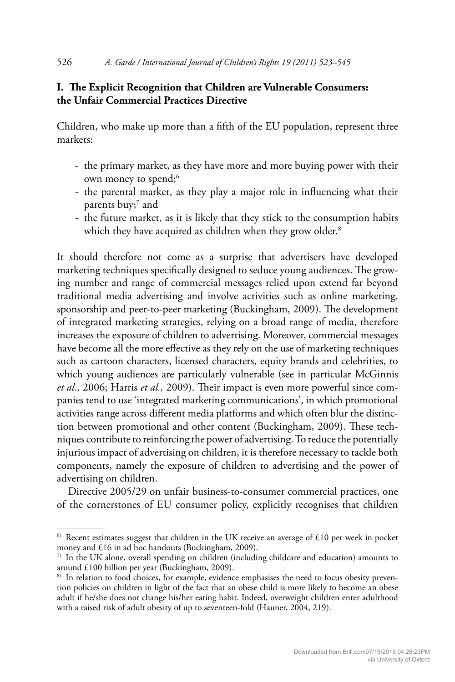# **I. The Explicit Recognition that Children are Vulnerable Consumers: the Unfair Commercial Practices Directive**

Children, who make up more than a fifth of the EU population, represent three markets:

- the primary market, as they have more and more buying power with their own money to spend;<sup>6</sup>
- the parental market, as they play a major role in influencing what their parents buy; $^7$  and
- the future market, as it is likely that they stick to the consumption habits which they have acquired as children when they grow older.<sup>8</sup>

 It should therefore not come as a surprise that advertisers have developed marketing techniques specifically designed to seduce young audiences. The growing number and range of commercial messages relied upon extend far beyond traditional media advertising and involve activities such as online marketing, sponsorship and peer-to-peer marketing (Buckingham, 2009). The development of integrated marketing strategies, relying on a broad range of media, therefore increases the exposure of children to advertising. Moreover, commercial messages have become all the more effective as they rely on the use of marketing techniques such as cartoon characters, licensed characters, equity brands and celebrities, to which young audiences are particularly vulnerable (see in particular McGinnis *et al.*, 2006; Harris *et al.*, 2009). Their impact is even more powerful since companies tend to use 'integrated marketing communications', in which promotional activities range across different media platforms and which often blur the distinction between promotional and other content (Buckingham, 2009). These techniques contribute to reinforcing the power of advertising. To reduce the potentially injurious impact of advertising on children, it is therefore necessary to tackle both components, namely the exposure of children to advertising and the power of advertising on children.

 Directive 2005/29 on unfair business-to-consumer commercial practices, one of the cornerstones of EU consumer policy, explicitly recognises that children

 $6$  Recent estimates suggest that children in the UK receive an average of £10 per week in pocket money and  $£16$  in ad hoc handouts (Buckingham, 2009).

 $7)$  In the UK alone, overall spending on children (including childcare and education) amounts to around  $£100$  billion per year (Buckingham, 2009).

<sup>&</sup>lt;sup>8)</sup> In relation to food choices, for example, evidence emphasises the need to focus obesity prevention policies on children in light of the fact that an obese child is more likely to become an obese adult if he/she does not change his/her eating habit. Indeed, overweight children enter adulthood with a raised risk of adult obesity of up to seventeen-fold (Hauner, 2004, 219).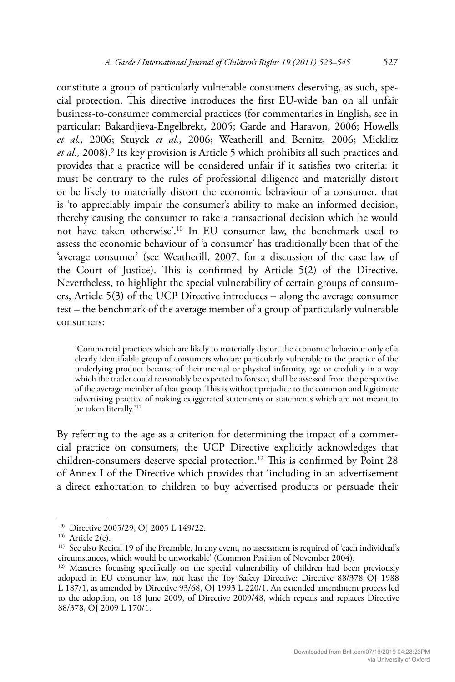constitute a group of particularly vulnerable consumers deserving, as such, special protection. This directive introduces the first EU-wide ban on all unfair business-to-consumer commercial practices (for commentaries in English, see in particular: Bakardjieva-Engelbrekt, 2005; Garde and Haravon, 2006; Howells et al., 2006; Stuyck et al., 2006; Weatherill and Bernitz, 2006; Micklitz *et al.,* 2008).<sup>9</sup> Its key provision is Article 5 which prohibits all such practices and provides that a practice will be considered unfair if it satisfies two criteria: it must be contrary to the rules of professional diligence and materially distort or be likely to materially distort the economic behaviour of a consumer, that is 'to appreciably impair the consumer's ability to make an informed decision, thereby causing the consumer to take a transactional decision which he would not have taken otherwise'.<sup>10</sup> In EU consumer law, the benchmark used to assess the economic behaviour of 'a consumer' has traditionally been that of the 'average consumer' (see Weatherill, 2007, for a discussion of the case law of the Court of Justice). This is confirmed by Article  $5(2)$  of the Directive. Nevertheless, to highlight the special vulnerability of certain groups of consumers, Article 5(3) of the UCP Directive introduces – along the average consumer test – the benchmark of the average member of a group of particularly vulnerable consumers:

 'Commercial practices which are likely to materially distort the economic behaviour only of a clearly identifi able group of consumers who are particularly vulnerable to the practice of the underlying product because of their mental or physical infirmity, age or credulity in a way which the trader could reasonably be expected to foresee, shall be assessed from the perspective of the average member of that group. This is without prejudice to the common and legitimate advertising practice of making exaggerated statements or statements which are not meant to be taken literally.'<sup>11</sup>

 By referring to the age as a criterion for determining the impact of a commercial practice on consumers, the UCP Directive explicitly acknowledges that children-consumers deserve special protection.<sup>12</sup> This is confirmed by Point 28 of Annex I of the Directive which provides that 'including in an advertisement a direct exhortation to children to buy advertised products or persuade their

<sup>9)</sup> Directive 2005/29, OJ 2005 L 149/22.

 $10)$  Article 2(e).

<sup>&</sup>lt;sup>11)</sup> See also Recital 19 of the Preamble. In any event, no assessment is required of 'each individual's circumstances, which would be unworkable' (Common Position of November 2004).

<sup>&</sup>lt;sup>12)</sup> Measures focusing specifically on the special vulnerability of children had been previously adopted in EU consumer law, not least the Toy Safety Directive: Directive 88/378 OJ 1988 L 187/1, as amended by Directive 93/68, OJ 1993 L 220/1. An extended amendment process led to the adoption, on 18 June 2009, of Directive 2009/48, which repeals and replaces Directive 88/378, OJ 2009 L 170/1.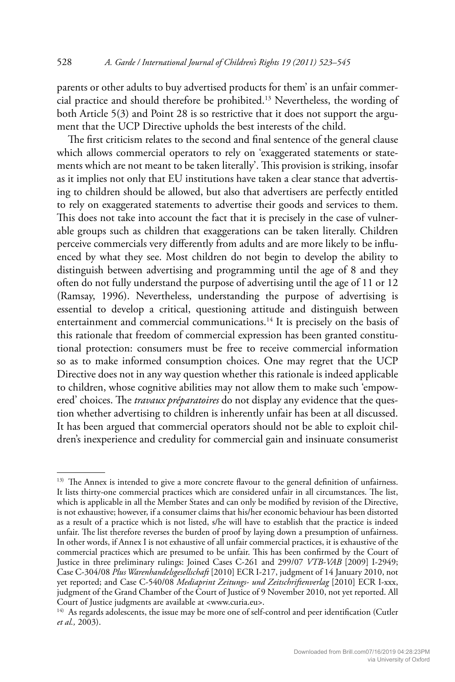parents or other adults to buy advertised products for them' is an unfair commercial practice and should therefore be prohibited. 13 Nevertheless, the wording of both Article 5(3) and Point 28 is so restrictive that it does not support the argument that the UCP Directive upholds the best interests of the child.

The first criticism relates to the second and final sentence of the general clause which allows commercial operators to rely on 'exaggerated statements or statements which are not meant to be taken literally'. This provision is striking, insofar as it implies not only that EU institutions have taken a clear stance that advertising to children should be allowed, but also that advertisers are perfectly entitled to rely on exaggerated statements to advertise their goods and services to them. This does not take into account the fact that it is precisely in the case of vulnerable groups such as children that exaggerations can be taken literally. Children perceive commercials very differently from adults and are more likely to be influenced by what they see. Most children do not begin to develop the ability to distinguish between advertising and programming until the age of 8 and they often do not fully understand the purpose of advertising until the age of 11 or 12 (Ramsay, 1996). Nevertheless, understanding the purpose of advertising is essential to develop a critical, questioning attitude and distinguish between entertainment and commercial communications.<sup>14</sup> It is precisely on the basis of this rationale that freedom of commercial expression has been granted constitutional protection: consumers must be free to receive commercial information so as to make informed consumption choices. One may regret that the UCP Directive does not in any way question whether this rationale is indeed applicable to children, whose cognitive abilities may not allow them to make such 'empowered' choices. The *travaux préparatoires* do not display any evidence that the question whether advertising to children is inherently unfair has been at all discussed. It has been argued that commercial operators should not be able to exploit children's inexperience and credulity for commercial gain and insinuate consumerist

<sup>&</sup>lt;sup>13)</sup> The Annex is intended to give a more concrete flavour to the general definition of unfairness. It lists thirty-one commercial practices which are considered unfair in all circumstances. The list, which is applicable in all the Member States and can only be modified by revision of the Directive, is not exhaustive; however, if a consumer claims that his/her economic behaviour has been distorted as a result of a practice which is not listed, s/he will have to establish that the practice is indeed unfair. The list therefore reverses the burden of proof by laying down a presumption of unfairness. In other words, if Annex I is not exhaustive of all unfair commercial practices, it is exhaustive of the commercial practices which are presumed to be unfair. This has been confirmed by the Court of Justice in three preliminary rulings: Joined Cases C-261 and 299/07 *VTB-VAB* [2009] I-2949; Case C-304/08 *Plus Warenhandelsgesellschaft* [2010] ECR I-217, judgment of 14 January 2010, not yet reported; and Case C-540/08 *Mediaprint Zeitungs- und Zeitschriftenverlag* [2010] ECR I-xxx, judgment of the Grand Chamber of the Court of Justice of 9 November 2010, not yet reported. All Court of Justice judgments are available at <www.curia.eu>.

<sup>&</sup>lt;sup>14)</sup> As regards adolescents, the issue may be more one of self-control and peer identification (Cutler *et al.*, 2003).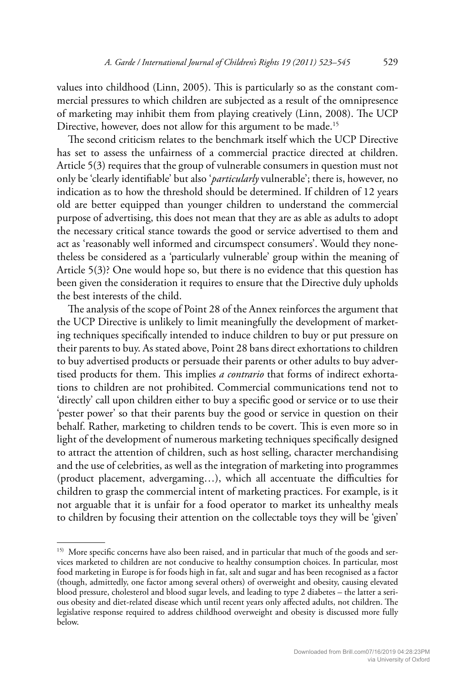values into childhood (Linn, 2005). This is particularly so as the constant commercial pressures to which children are subjected as a result of the omnipresence of marketing may inhibit them from playing creatively (Linn, 2008). The UCP Directive, however, does not allow for this argument to be made.<sup>15</sup>

The second criticism relates to the benchmark itself which the UCP Directive has set to assess the unfairness of a commercial practice directed at children. Article 5(3) requires that the group of vulnerable consumers in question must not only be 'clearly identifiable' but also '*particularly* vulnerable'; there is, however, no indication as to how the threshold should be determined. If children of 12 years old are better equipped than younger children to understand the commercial purpose of advertising, this does not mean that they are as able as adults to adopt the necessary critical stance towards the good or service advertised to them and act as 'reasonably well informed and circumspect consumers'. Would they nonetheless be considered as a 'particularly vulnerable' group within the meaning of Article 5(3)? One would hope so, but there is no evidence that this question has been given the consideration it requires to ensure that the Directive duly upholds the best interests of the child.

The analysis of the scope of Point 28 of the Annex reinforces the argument that the UCP Directive is unlikely to limit meaningfully the development of marketing techniques specifically intended to induce children to buy or put pressure on their parents to buy. As stated above, Point 28 bans direct exhortations to children to buy advertised products or persuade their parents or other adults to buy advertised products for them. This implies *a contrario* that forms of indirect exhortations to children are not prohibited. Commercial communications tend not to 'directly' call upon children either to buy a specific good or service or to use their 'pester power' so that their parents buy the good or service in question on their behalf. Rather, marketing to children tends to be covert. This is even more so in light of the development of numerous marketing techniques specifically designed to attract the attention of children, such as host selling, character merchandising and the use of celebrities, as well as the integration of marketing into programmes (product placement, advergaming...), which all accentuate the difficulties for children to grasp the commercial intent of marketing practices. For example, is it not arguable that it is unfair for a food operator to market its unhealthy meals to children by focusing their attention on the collectable toys they will be 'given'

 $15)$  More specific concerns have also been raised, and in particular that much of the goods and services marketed to children are not conducive to healthy consumption choices. In particular, most food marketing in Europe is for foods high in fat, salt and sugar and has been recognised as a factor (though, admittedly, one factor among several others) of overweight and obesity, causing elevated blood pressure, cholesterol and blood sugar levels, and leading to type 2 diabetes – the latter a serious obesity and diet-related disease which until recent years only affected adults, not children. The legislative response required to address childhood overweight and obesity is discussed more fully below.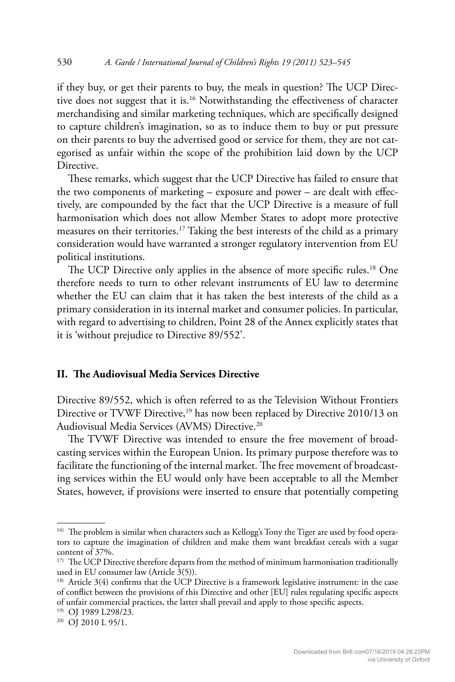if they buy, or get their parents to buy, the meals in question? The UCP Directive does not suggest that it is.<sup>16</sup> Notwithstanding the effectiveness of character merchandising and similar marketing techniques, which are specifically designed to capture children's imagination, so as to induce them to buy or put pressure on their parents to buy the advertised good or service for them, they are not categorised as unfair within the scope of the prohibition laid down by the UCP **Directive** 

These remarks, which suggest that the UCP Directive has failed to ensure that the two components of marketing  $-$  exposure and power  $-$  are dealt with effectively, are compounded by the fact that the UCP Directive is a measure of full harmonisation which does not allow Member States to adopt more protective measures on their territories. 17 Taking the best interests of the child as a primary consideration would have warranted a stronger regulatory intervention from EU political institutions.

The UCP Directive only applies in the absence of more specific rules.<sup>18</sup> One therefore needs to turn to other relevant instruments of EU law to determine whether the EU can claim that it has taken the best interests of the child as a primary consideration in its internal market and consumer policies. In particular, with regard to advertising to children, Point 28 of the Annex explicitly states that it is 'without prejudice to Directive 89/552'.

## **II. The Audiovisual Media Services Directive**

 Directive 89/552, which is often referred to as the Television Without Frontiers Directive or TVWF Directive, 19 has now been replaced by Directive 2010/13 on Audiovisual Media Services (AVMS) Directive. 20

The TVWF Directive was intended to ensure the free movement of broadcasting services within the European Union. Its primary purpose therefore was to facilitate the functioning of the internal market. The free movement of broadcasting services within the EU would only have been acceptable to all the Member States, however, if provisions were inserted to ensure that potentially competing

<sup>&</sup>lt;sup>16)</sup> The problem is similar when characters such as Kellogg's Tony the Tiger are used by food operators to capture the imagination of children and make them want breakfast cereals with a sugar content of 37%.

<sup>&</sup>lt;sup>17)</sup> The UCP Directive therefore departs from the method of minimum harmonisation traditionally used in EU consumer law (Article 3(5)).

 $18)$  Article 3(4) confirms that the UCP Directive is a framework legislative instrument: in the case of conflict between the provisions of this Directive and other [EU] rules regulating specific aspects of unfair commercial practices, the latter shall prevail and apply to those specific aspects.

 <sup>19)</sup> OJ 1989 L298/23.

 $20)$  OJ 2010 L 95/1.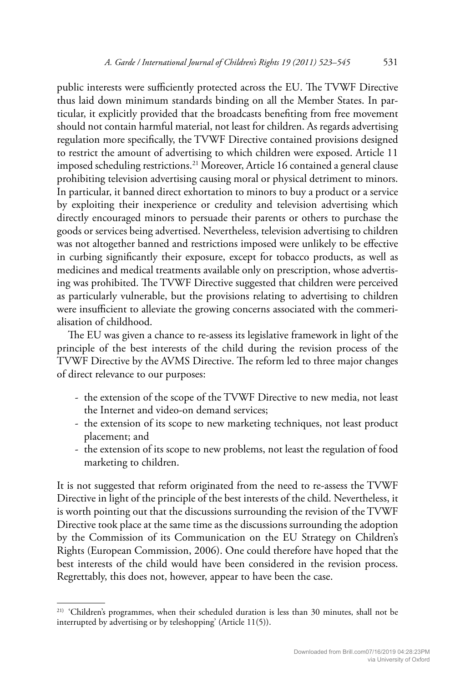public interests were sufficiently protected across the EU. The TVWF Directive thus laid down minimum standards binding on all the Member States. In particular, it explicitly provided that the broadcasts benefiting from free movement should not contain harmful material, not least for children. As regards advertising regulation more specifically, the TVWF Directive contained provisions designed to restrict the amount of advertising to which children were exposed. Article 11 imposed scheduling restrictions. 21 Moreover, Article 16 contained a general clause prohibiting television advertising causing moral or physical detriment to minors. In particular, it banned direct exhortation to minors to buy a product or a service by exploiting their inexperience or credulity and television advertising which directly encouraged minors to persuade their parents or others to purchase the goods or services being advertised. Nevertheless, television advertising to children was not altogether banned and restrictions imposed were unlikely to be effective in curbing significantly their exposure, except for tobacco products, as well as medicines and medical treatments available only on prescription, whose advertising was prohibited. The TVWF Directive suggested that children were perceived as particularly vulnerable, but the provisions relating to advertising to children were insufficient to alleviate the growing concerns associated with the commerialisation of childhood.

The EU was given a chance to re-assess its legislative framework in light of the principle of the best interests of the child during the revision process of the TVWF Directive by the AVMS Directive. The reform led to three major changes of direct relevance to our purposes:

- the extension of the scope of the TVWF Directive to new media, not least the Internet and video-on demand services;
- the extension of its scope to new marketing techniques, not least product placement; and
- the extension of its scope to new problems, not least the regulation of food marketing to children.

 It is not suggested that reform originated from the need to re-assess the TVWF Directive in light of the principle of the best interests of the child. Nevertheless, it is worth pointing out that the discussions surrounding the revision of the TVWF Directive took place at the same time as the discussions surrounding the adoption by the Commission of its Communication on the EU Strategy on Children's Rights (European Commission, 2006). One could therefore have hoped that the best interests of the child would have been considered in the revision process. Regrettably, this does not, however, appear to have been the case.

<sup>&</sup>lt;sup>21)</sup> 'Children's programmes, when their scheduled duration is less than 30 minutes, shall not be interrupted by advertising or by teleshopping' (Article 11(5)).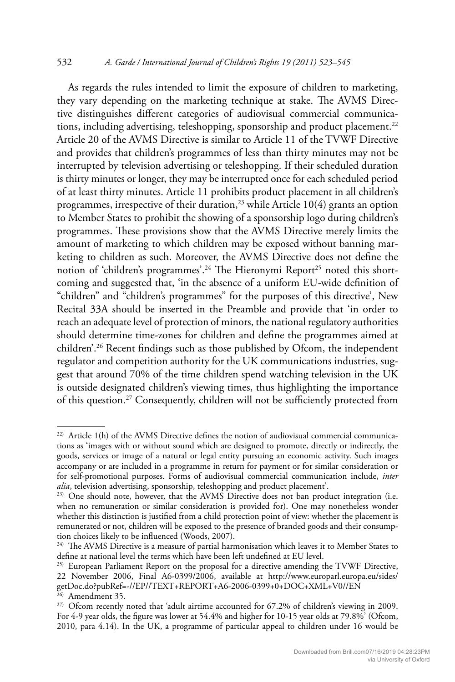#### 532 *A. Garde / International Journal of Children's Rights 19 (2011) 523–545*

 As regards the rules intended to limit the exposure of children to marketing, they vary depending on the marketing technique at stake. The AVMS Directive distinguishes different categories of audiovisual commercial communications, including advertising, teleshopping, sponsorship and product placement.<sup>22</sup> Article 20 of the AVMS Directive is similar to Article 11 of the TVWF Directive and provides that children's programmes of less than thirty minutes may not be interrupted by television advertising or teleshopping. If their scheduled duration is thirty minutes or longer, they may be interrupted once for each scheduled period of at least thirty minutes. Article 11 prohibits product placement in all children's programmes, irrespective of their duration,<sup>23</sup> while Article 10(4) grants an option to Member States to prohibit the showing of a sponsorship logo during children's programmes. These provisions show that the AVMS Directive merely limits the amount of marketing to which children may be exposed without banning marketing to children as such. Moreover, the AVMS Directive does not define the notion of 'children's programmes'.<sup>24</sup> The Hieronymi Report<sup>25</sup> noted this shortcoming and suggested that, 'in the absence of a uniform EU-wide definition of "children" and "children's programmes" for the purposes of this directive', New Recital 33A should be inserted in the Preamble and provide that 'in order to reach an adequate level of protection of minors, the national regulatory authorities should determine time-zones for children and define the programmes aimed at children'.<sup>26</sup> Recent findings such as those published by Ofcom, the independent regulator and competition authority for the UK communications industries, suggest that around 70% of the time children spend watching television in the UK is outside designated children's viewing times, thus highlighting the importance of this question.<sup>27</sup> Consequently, children will not be sufficiently protected from

<sup>&</sup>lt;sup>22)</sup> Article 1(h) of the AVMS Directive defines the notion of audiovisual commercial communications as 'images with or without sound which are designed to promote, directly or indirectly, the goods, services or image of a natural or legal entity pursuing an economic activity. Such images accompany or are included in a programme in return for payment or for similar consideration or for self-promotional purposes. Forms of audiovisual commercial communication include, *inter alia* , television advertising, sponsorship, teleshopping and product placement'.

<sup>&</sup>lt;sup>23)</sup> One should note, however, that the AVMS Directive does not ban product integration (i.e. when no remuneration or similar consideration is provided for). One may nonetheless wonder whether this distinction is justified from a child protection point of view: whether the placement is remunerated or not, children will be exposed to the presence of branded goods and their consumption choices likely to be influenced (Woods, 2007).

<sup>&</sup>lt;sup>24)</sup> The AVMS Directive is a measure of partial harmonisation which leaves it to Member States to define at national level the terms which have been left undefined at EU level.

<sup>&</sup>lt;sup>25)</sup> European Parliament Report on the proposal for a directive amending the TVWF Directive, 22 November 2006, Final A6-0399/2006, available at http://www.europarl.europa.eu/sides/ getDoc.do?pubRef=-//EP//TEXT+REPORT+A6-2006-0399+0+DOC+XML+V0//EN  $26$ ) Amendment 35.

<sup>&</sup>lt;sup>27)</sup> Ofcom recently noted that 'adult airtime accounted for 67.2% of children's viewing in 2009. For 4-9 year olds, the figure was lower at 54.4% and higher for 10-15 year olds at 79.8%' (Ofcom, 2010 , para 4.14). In the UK, a programme of particular appeal to children under 16 would be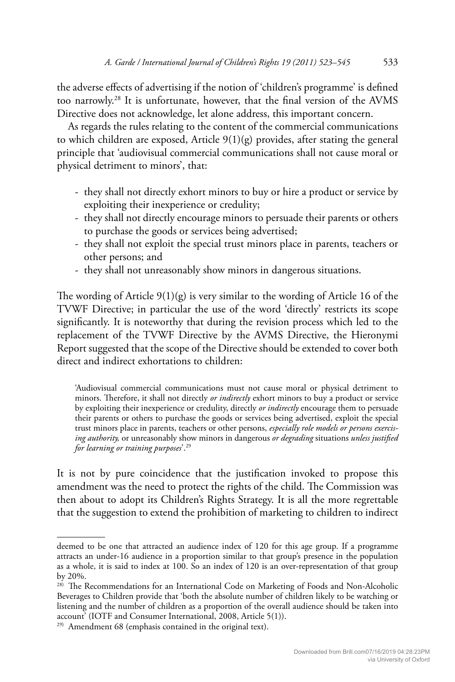the adverse effects of advertising if the notion of 'children's programme' is defined too narrowly.<sup>28</sup> It is unfortunate, however, that the final version of the AVMS Directive does not acknowledge, let alone address, this important concern.

 As regards the rules relating to the content of the commercial communications to which children are exposed, Article  $9(1)(g)$  provides, after stating the general principle that 'audiovisual commercial communications shall not cause moral or physical detriment to minors', that:

- they shall not directly exhort minors to buy or hire a product or service by exploiting their inexperience or credulity;
- they shall not directly encourage minors to persuade their parents or others to purchase the goods or services being advertised;
- they shall not exploit the special trust minors place in parents, teachers or other persons; and
- they shall not unreasonably show minors in dangerous situations.

The wording of Article  $9(1)(g)$  is very similar to the wording of Article 16 of the TVWF Directive; in particular the use of the word 'directly' restricts its scope significantly. It is noteworthy that during the revision process which led to the replacement of the TVWF Directive by the AVMS Directive, the Hieronymi Report suggested that the scope of the Directive should be extended to cover both direct and indirect exhortations to children:

 'Audiovisual commercial communications must not cause moral or physical detriment to minors. Therefore, it shall not directly *or indirectly* exhort minors to buy a product or service by exploiting their inexperience or credulity, directly *or indirectly* encourage them to persuade their parents or others to purchase the goods or services being advertised, exploit the special trust minors place in parents, teachers or other persons, *especially role models or persons exercising authority*, or unreasonably show minors in dangerous or degrading situations unless justified *for learning or training purposes* '. 29

It is not by pure coincidence that the justification invoked to propose this amendment was the need to protect the rights of the child. The Commission was then about to adopt its Children's Rights Strategy. It is all the more regrettable that the suggestion to extend the prohibition of marketing to children to indirect

deemed to be one that attracted an audience index of 120 for this age group. If a programme attracts an under-16 audience in a proportion similar to that group's presence in the population as a whole, it is said to index at 100. So an index of 120 is an over-representation of that group by 20%.

<sup>&</sup>lt;sup>28)</sup> The Recommendations for an International Code on Marketing of Foods and Non-Alcoholic Beverages to Children provide that 'both the absolute number of children likely to be watching or listening and the number of children as a proportion of the overall audience should be taken into account' (IOTF and Consumer International, 2008, Article 5(1)).

 <sup>29)</sup> Amendment 68 (emphasis contained in the original text).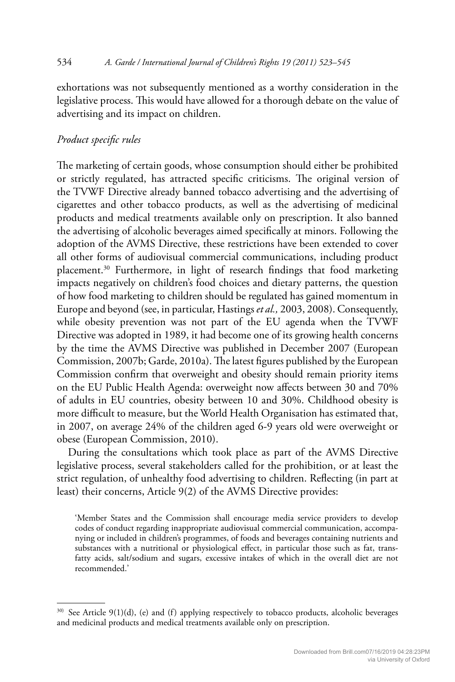exhortations was not subsequently mentioned as a worthy consideration in the legislative process. This would have allowed for a thorough debate on the value of advertising and its impact on children.

## *Product specific rules*

The marketing of certain goods, whose consumption should either be prohibited or strictly regulated, has attracted specific criticisms. The original version of the TVWF Directive already banned tobacco advertising and the advertising of cigarettes and other tobacco products, as well as the advertising of medicinal products and medical treatments available only on prescription. It also banned the advertising of alcoholic beverages aimed specifically at minors. Following the adoption of the AVMS Directive, these restrictions have been extended to cover all other forms of audiovisual commercial communications, including product placement.<sup>30</sup> Furthermore, in light of research findings that food marketing impacts negatively on children's food choices and dietary patterns, the question of how food marketing to children should be regulated has gained momentum in Europe and beyond (see, in particular, Hastings *et al.*, 2003, 2008). Consequently, while obesity prevention was not part of the EU agenda when the TVWF Directive was adopted in 1989, it had become one of its growing health concerns by the time the AVMS Directive was published in December 2007 (European Commission, 2007b; Garde, 2010a). The latest figures published by the European Commission confirm that overweight and obesity should remain priority items on the EU Public Health Agenda: overweight now affects between 30 and 70% of adults in EU countries, obesity between 10 and 30%. Childhood obesity is more difficult to measure, but the World Health Organisation has estimated that, in 2007, on average 24% of the children aged 6-9 years old were overweight or obese (European Commission, 2010).

 During the consultations which took place as part of the AVMS Directive legislative process, several stakeholders called for the prohibition, or at least the strict regulation, of unhealthy food advertising to children. Reflecting (in part at least) their concerns, Article 9(2) of the AVMS Directive provides:

 'Member States and the Commission shall encourage media service providers to develop codes of conduct regarding inappropriate audiovisual commercial communication, accompanying or included in children's programmes, of foods and beverages containing nutrients and substances with a nutritional or physiological effect, in particular those such as fat, transfatty acids, salt/sodium and sugars, excessive intakes of which in the overall diet are not recommended.'

<sup>&</sup>lt;sup>30)</sup> See Article 9(1)(d), (e) and (f) applying respectively to tobacco products, alcoholic beverages and medicinal products and medical treatments available only on prescription.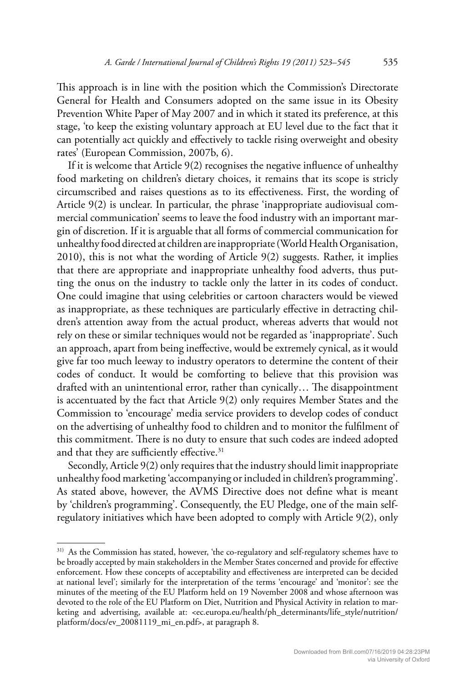This approach is in line with the position which the Commission's Directorate General for Health and Consumers adopted on the same issue in its Obesity Prevention White Paper of May 2007 and in which it stated its preference, at this stage, 'to keep the existing voluntary approach at EU level due to the fact that it can potentially act quickly and effectively to tackle rising overweight and obesity rates' (European Commission, 2007b, 6).

If it is welcome that Article  $9(2)$  recognises the negative influence of unhealthy food marketing on children's dietary choices, it remains that its scope is stricly circumscribed and raises questions as to its effectiveness. First, the wording of Article 9(2) is unclear. In particular, the phrase 'inappropriate audiovisual commercial communication' seems to leave the food industry with an important margin of discretion. If it is arguable that all forms of commercial communication for unhealthy food directed at children are inappropriate (World Health Organisation, 2010), this is not what the wording of Article 9(2) suggests. Rather, it implies that there are appropriate and inappropriate unhealthy food adverts, thus putting the onus on the industry to tackle only the latter in its codes of conduct. One could imagine that using celebrities or cartoon characters would be viewed as inappropriate, as these techniques are particularly effective in detracting children's attention away from the actual product, whereas adverts that would not rely on these or similar techniques would not be regarded as 'inappropriate'. Such an approach, apart from being ineffective, would be extremely cynical, as it would give far too much leeway to industry operators to determine the content of their codes of conduct. It would be comforting to believe that this provision was drafted with an unintentional error, rather than cynically... The disappointment is accentuated by the fact that Article 9(2) only requires Member States and the Commission to 'encourage' media service providers to develop codes of conduct on the advertising of unhealthy food to children and to monitor the fulfilment of this commitment. There is no duty to ensure that such codes are indeed adopted and that they are sufficiently effective.<sup>31</sup>

 Secondly, Article 9(2) only requires that the industry should limit inappropriate unhealthy food marketing 'accompanying or included in children's programming'. As stated above, however, the AVMS Directive does not define what is meant by 'children's programming'. Consequently, the EU Pledge, one of the main selfregulatory initiatives which have been adopted to comply with Article 9(2), only

 <sup>31)</sup> As the Commission has stated, however, 'the co-regulatory and self-regulatory schemes have to be broadly accepted by main stakeholders in the Member States concerned and provide for effective enforcement. How these concepts of acceptability and effectiveness are interpreted can be decided at national level'; similarly for the interpretation of the terms 'encourage' and 'monitor': see the minutes of the meeting of the EU Platform held on 19 November 2008 and whose afternoon was devoted to the role of the EU Platform on Diet, Nutrition and Physical Activity in relation to marketing and advertising, available at: <ec.europa.eu/health/ph\_determinants/life\_style/nutrition/ platform/docs/ev\_20081119\_mi\_en.pdf>, at paragraph 8.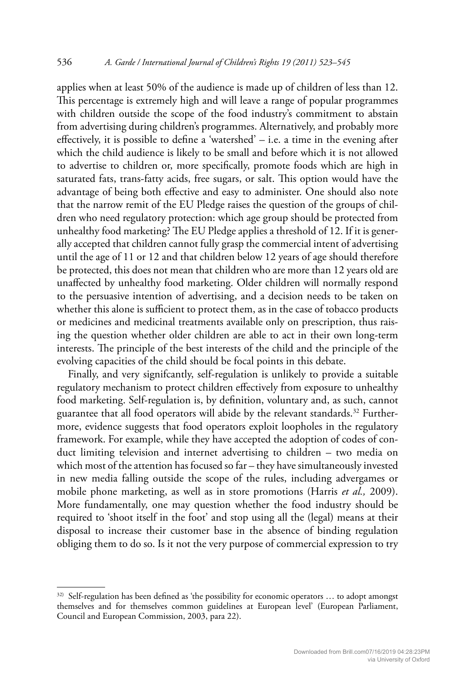applies when at least 50% of the audience is made up of children of less than 12. This percentage is extremely high and will leave a range of popular programmes with children outside the scope of the food industry's commitment to abstain from advertising during children's programmes. Alternatively, and probably more effectively, it is possible to define a 'watershed'  $-$  i.e. a time in the evening after which the child audience is likely to be small and before which it is not allowed to advertise to children or, more specifically, promote foods which are high in saturated fats, trans-fatty acids, free sugars, or salt. This option would have the advantage of being both effective and easy to administer. One should also note that the narrow remit of the EU Pledge raises the question of the groups of children who need regulatory protection: which age group should be protected from unhealthy food marketing? The EU Pledge applies a threshold of 12. If it is generally accepted that children cannot fully grasp the commercial intent of advertising until the age of 11 or 12 and that children below 12 years of age should therefore be protected, this does not mean that children who are more than 12 years old are unaffected by unhealthy food marketing. Older children will normally respond to the persuasive intention of advertising, and a decision needs to be taken on whether this alone is sufficient to protect them, as in the case of tobacco products or medicines and medicinal treatments available only on prescription, thus raising the question whether older children are able to act in their own long-term interests. The principle of the best interests of the child and the principle of the evolving capacities of the child should be focal points in this debate.

 Finally, and very signifcantly, self-regulation is unlikely to provide a suitable regulatory mechanism to protect children effectively from exposure to unhealthy food marketing. Self-regulation is, by definition, voluntary and, as such, cannot guarantee that all food operators will abide by the relevant standards. 32 Furthermore, evidence suggests that food operators exploit loopholes in the regulatory framework. For example, while they have accepted the adoption of codes of conduct limiting television and internet advertising to children – two media on which most of the attention has focused so far – they have simultaneously invested in new media falling outside the scope of the rules, including advergames or mobile phone marketing, as well as in store promotions (Harris *et al.*, 2009). More fundamentally, one may question whether the food industry should be required to 'shoot itself in the foot' and stop using all the (legal) means at their disposal to increase their customer base in the absence of binding regulation obliging them to do so. Is it not the very purpose of commercial expression to try

<sup>32)</sup> Self-regulation has been defined as 'the possibility for economic operators ... to adopt amongst themselves and for themselves common guidelines at European level' (European Parliament, Council and European Commission, 2003, para 22).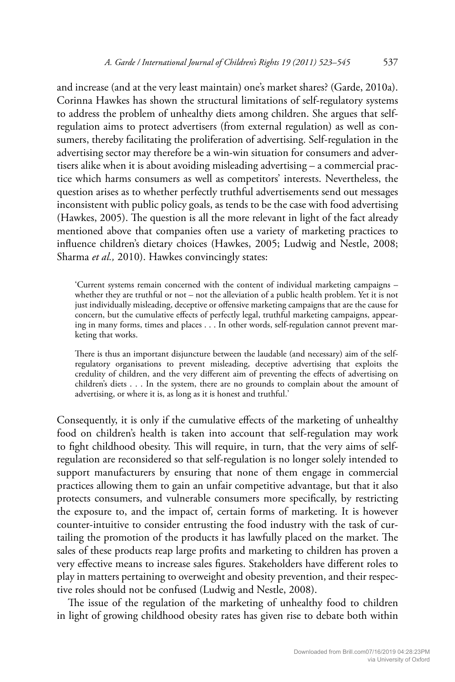and increase (and at the very least maintain) one's market shares? (Garde, 2010a). Corinna Hawkes has shown the structural limitations of self-regulatory systems to address the problem of unhealthy diets among children. She argues that selfregulation aims to protect advertisers (from external regulation) as well as consumers, thereby facilitating the proliferation of advertising. Self-regulation in the advertising sector may therefore be a win-win situation for consumers and advertisers alike when it is about avoiding misleading advertising – a commercial practice which harms consumers as well as competitors' interests. Nevertheless, the question arises as to whether perfectly truthful advertisements send out messages inconsistent with public policy goals, as tends to be the case with food advertising  $(Hawkes, 2005)$ . The question is all the more relevant in light of the fact already mentioned above that companies often use a variety of marketing practices to influence children's dietary choices (Hawkes, 2005; Ludwig and Nestle, 2008; Sharma et al., 2010). Hawkes convincingly states:

 'Current systems remain concerned with the content of individual marketing campaigns – whether they are truthful or not – not the alleviation of a public health problem. Yet it is not just individually misleading, deceptive or offensive marketing campaigns that are the cause for concern, but the cumulative effects of perfectly legal, truthful marketing campaigns, appearing in many forms, times and places . . . In other words, self-regulation cannot prevent marketing that works.

There is thus an important disjuncture between the laudable (and necessary) aim of the selfregulatory organisations to prevent misleading, deceptive advertising that exploits the credulity of children, and the very different aim of preventing the effects of advertising on children's diets . . . In the system, there are no grounds to complain about the amount of advertising, or where it is, as long as it is honest and truthful.'

Consequently, it is only if the cumulative effects of the marketing of unhealthy food on children's health is taken into account that self-regulation may work to fight childhood obesity. This will require, in turn, that the very aims of selfregulation are reconsidered so that self-regulation is no longer solely intended to support manufacturers by ensuring that none of them engage in commercial practices allowing them to gain an unfair competitive advantage, but that it also protects consumers, and vulnerable consumers more specifically, by restricting the exposure to, and the impact of, certain forms of marketing. It is however counter-intuitive to consider entrusting the food industry with the task of curtailing the promotion of the products it has lawfully placed on the market. The sales of these products reap large profits and marketing to children has proven a very effective means to increase sales figures. Stakeholders have different roles to play in matters pertaining to overweight and obesity prevention, and their respective roles should not be confused (Ludwig and Nestle, 2008).

The issue of the regulation of the marketing of unhealthy food to children in light of growing childhood obesity rates has given rise to debate both within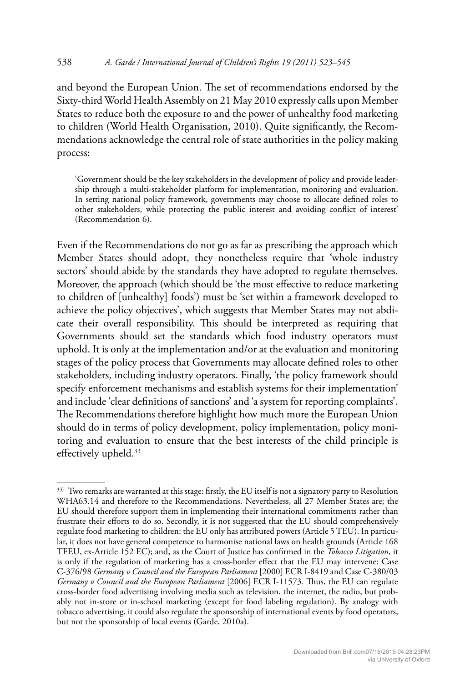and beyond the European Union. The set of recommendations endorsed by the Sixty-third World Health Assembly on 21 May 2010 expressly calls upon Member States to reduce both the exposure to and the power of unhealthy food marketing to children (World Health Organisation, 2010). Quite significantly, the Recommendations acknowledge the central role of state authorities in the policy making process:

 'Government should be the key stakeholders in the development of policy and provide leadership through a multi-stakeholder platform for implementation, monitoring and evaluation. In setting national policy framework, governments may choose to allocate defined roles to other stakeholders, while protecting the public interest and avoiding conflict of interest' (Recommendation 6).

 Even if the Recommendations do not go as far as prescribing the approach which Member States should adopt, they nonetheless require that 'whole industry sectors' should abide by the standards they have adopted to regulate themselves. Moreover, the approach (which should be 'the most effective to reduce marketing to children of [unhealthy] foods') must be 'set within a framework developed to achieve the policy objectives', which suggests that Member States may not abdicate their overall responsibility. This should be interpreted as requiring that Governments should set the standards which food industry operators must uphold. It is only at the implementation and/or at the evaluation and monitoring stages of the policy process that Governments may allocate defined roles to other stakeholders, including industry operators. Finally, 'the policy framework should specify enforcement mechanisms and establish systems for their implementation' and include 'clear definitions of sanctions' and 'a system for reporting complaints'. The Recommendations therefore highlight how much more the European Union should do in terms of policy development, policy implementation, policy monitoring and evaluation to ensure that the best interests of the child principle is effectively upheld.<sup>33</sup>

<sup>&</sup>lt;sup>33)</sup> Two remarks are warranted at this stage: firstly, the EU itself is not a signatory party to Resolution WHA63.14 and therefore to the Recommendations. Nevertheless, all 27 Member States are; the EU should therefore support them in implementing their international commitments rather than frustrate their efforts to do so. Secondly, it is not suggested that the EU should comprehensively regulate food marketing to children: the EU only has attributed powers (Article 5 TEU). In particular, it does not have general competence to harmonise national laws on health grounds (Article 168 TFEU, ex-Article 152 EC); and, as the Court of Justice has confirmed in the *Tobacco Litigation*, it is only if the regulation of marketing has a cross-border effect that the EU may intervene: Case C-376/98 *Germany v Council and the European Parliament* [2000] ECR I-8419 and Case C-380/03 *Germany v Council and the European Parliament* [2006] ECR I-11573. Thus, the EU can regulate cross-border food advertising involving media such as television, the internet, the radio, but probably not in-store or in-school marketing (except for food labeling regulation). By analogy with tobacco advertising, it could also regulate the sponsorship of international events by food operators, but not the sponsorship of local events (Garde, 2010a).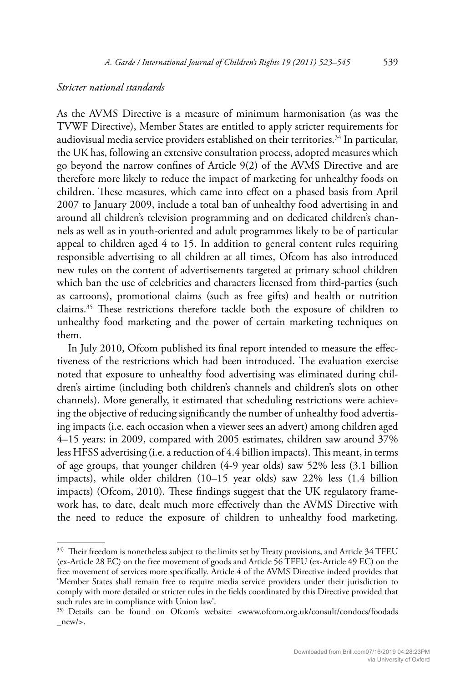## *Stricter national standards*

 As the AVMS Directive is a measure of minimum harmonisation (as was the TVWF Directive), Member States are entitled to apply stricter requirements for audiovisual media service providers established on their territories. 34 In particular, the UK has, following an extensive consultation process, adopted measures which go beyond the narrow confines of Article 9(2) of the AVMS Directive and are therefore more likely to reduce the impact of marketing for unhealthy foods on children. These measures, which came into effect on a phased basis from April 2007 to January 2009, include a total ban of unhealthy food advertising in and around all children's television programming and on dedicated children's channels as well as in youth-oriented and adult programmes likely to be of particular appeal to children aged 4 to 15. In addition to general content rules requiring responsible advertising to all children at all times, Ofcom has also introduced new rules on the content of advertisements targeted at primary school children which ban the use of celebrities and characters licensed from third-parties (such as cartoons), promotional claims (such as free gifts) and health or nutrition claims.<sup>35</sup> These restrictions therefore tackle both the exposure of children to unhealthy food marketing and the power of certain marketing techniques on them.

In July 2010, Ofcom published its final report intended to measure the effectiveness of the restrictions which had been introduced. The evaluation exercise noted that exposure to unhealthy food advertising was eliminated during children's airtime (including both children's channels and children's slots on other channels). More generally, it estimated that scheduling restrictions were achieving the objective of reducing significantly the number of unhealthy food advertising impacts (i.e. each occasion when a viewer sees an advert) among children aged 4–15 years: in 2009, compared with 2005 estimates, children saw around 37% less HFSS advertising (i.e. a reduction of 4.4 billion impacts). This meant, in terms of age groups, that younger children (4-9 year olds) saw 52% less (3.1 billion impacts), while older children (10–15 year olds) saw 22% less (1.4 billion impacts) (Ofcom, 2010). These findings suggest that the UK regulatory framework has, to date, dealt much more effectively than the AVMS Directive with the need to reduce the exposure of children to unhealthy food marketing.

<sup>&</sup>lt;sup>34)</sup> Their freedom is nonetheless subject to the limits set by Treaty provisions, and Article 34 TFEU (ex-Article 28 EC) on the free movement of goods and Article 56 TFEU (ex-Article 49 EC) on the free movement of services more specifically. Article 4 of the AVMS Directive indeed provides that 'Member States shall remain free to require media service providers under their jurisdiction to comply with more detailed or stricter rules in the fields coordinated by this Directive provided that such rules are in compliance with Union law'.

<sup>&</sup>lt;sup>35)</sup> Details can be found on Ofcom's website: <www.ofcom.org.uk/consult/condocs/foodads  $_{\rm new/s.}$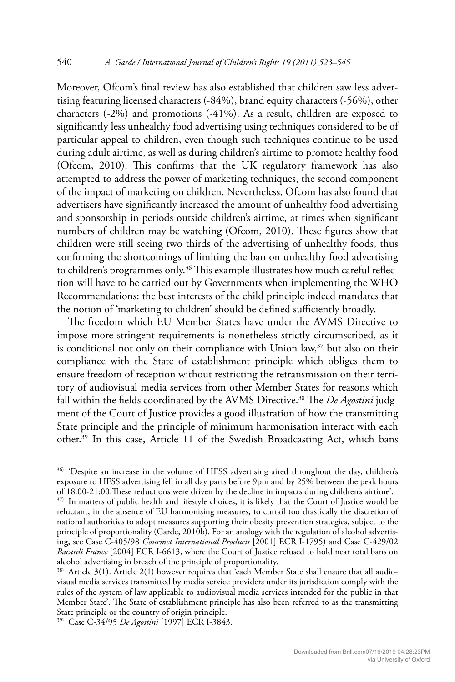Moreover, Ofcom's final review has also established that children saw less advertising featuring licensed characters (-84%), brand equity characters (-56%), other characters (-2%) and promotions (-41%). As a result, children are exposed to significantly less unhealthy food advertising using techniques considered to be of particular appeal to children, even though such techniques continue to be used during adult airtime, as well as during children's airtime to promote healthy food (Ofcom, 2010). This confirms that the UK regulatory framework has also attempted to address the power of marketing techniques, the second component of the impact of marketing on children. Nevertheless, Ofcom has also found that advertisers have significantly increased the amount of unhealthy food advertising and sponsorship in periods outside children's airtime, at times when significant numbers of children may be watching (Ofcom, 2010). These figures show that children were still seeing two thirds of the advertising of unhealthy foods, thus confirming the shortcomings of limiting the ban on unhealthy food advertising to children's programmes only.<sup>36</sup> This example illustrates how much careful reflection will have to be carried out by Governments when implementing the WHO Recommendations: the best interests of the child principle indeed mandates that the notion of 'marketing to children' should be defined sufficiently broadly.

The freedom which EU Member States have under the AVMS Directive to impose more stringent requirements is nonetheless strictly circumscribed, as it is conditional not only on their compliance with Union law,<sup>37</sup> but also on their compliance with the State of establishment principle which obliges them to ensure freedom of reception without restricting the retransmission on their territory of audiovisual media services from other Member States for reasons which fall within the fields coordinated by the AVMS Directive.<sup>38</sup> The *De Agostini* judgment of the Court of Justice provides a good illustration of how the transmitting State principle and the principle of minimum harmonisation interact with each other. 39 In this case, Article 11 of the Swedish Broadcasting Act, which bans

<sup>&</sup>lt;sup>36)</sup> 'Despite an increase in the volume of HFSS advertising aired throughout the day, children's exposure to HFSS advertising fell in all day parts before 9pm and by 25% between the peak hours of 18:00-21:00. These reductions were driven by the decline in impacts during children's airtime'.

 <sup>37)</sup> In matters of public health and lifestyle choices, it is likely that the Court of Justice would be reluctant, in the absence of EU harmonising measures, to curtail too drastically the discretion of national authorities to adopt measures supporting their obesity prevention strategies, subject to the principle of proportionality (Garde, 2010b). For an analogy with the regulation of alcohol advertising, see Case C-405/98 *Gourmet International Products* [2001] ECR I-1795) and Case C-429/02 *Bacardi France* [2004] ECR I-6613, where the Court of Justice refused to hold near total bans on alcohol advertising in breach of the principle of proportionality.

<sup>&</sup>lt;sup>38)</sup> Article 3(1). Article 2(1) however requires that 'each Member State shall ensure that all audiovisual media services transmitted by media service providers under its jurisdiction comply with the rules of the system of law applicable to audiovisual media services intended for the public in that Member State'. The State of establishment principle has also been referred to as the transmitting State principle or the country of origin principle.

 <sup>39)</sup> Case C-34/95 *De Agostini* [1997] ECR I-3843.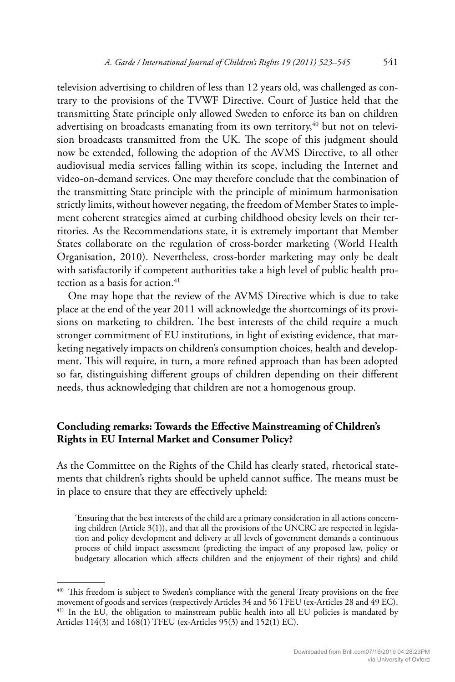television advertising to children of less than 12 years old, was challenged as contrary to the provisions of the TVWF Directive. Court of Justice held that the transmitting State principle only allowed Sweden to enforce its ban on children advertising on broadcasts emanating from its own territory,<sup>40</sup> but not on television broadcasts transmitted from the UK. The scope of this judgment should now be extended, following the adoption of the AVMS Directive, to all other audiovisual media services falling within its scope, including the Internet and video-on-demand services. One may therefore conclude that the combination of the transmitting State principle with the principle of minimum harmonisation strictly limits, without however negating, the freedom of Member States to implement coherent strategies aimed at curbing childhood obesity levels on their territories. As the Recommendations state, it is extremely important that Member States collaborate on the regulation of cross-border marketing (World Health Organisation, 2010). Nevertheless, cross-border marketing may only be dealt with satisfactorily if competent authorities take a high level of public health protection as a basis for action.<sup>41</sup>

 One may hope that the review of the AVMS Directive which is due to take place at the end of the year 2011 will acknowledge the shortcomings of its provisions on marketing to children. The best interests of the child require a much stronger commitment of EU institutions, in light of existing evidence, that marketing negatively impacts on children's consumption choices, health and development. This will require, in turn, a more refined approach than has been adopted so far, distinguishing different groups of children depending on their different needs, thus acknowledging that children are not a homogenous group.

## **Concluding remarks: Towards the Effective Mainstreaming of Children's Rights in EU Internal Market and Consumer Policy?**

 As the Committee on the Rights of the Child has clearly stated, rhetorical statements that children's rights should be upheld cannot suffice. The means must be in place to ensure that they are effectively upheld:

 'Ensuring that the best interests of the child are a primary consideration in all actions concerning children (Article 3(1)), and that all the provisions of the UNCRC are respected in legislation and policy development and delivery at all levels of government demands a continuous process of child impact assessment (predicting the impact of any proposed law, policy or budgetary allocation which affects children and the enjoyment of their rights) and child

<sup>&</sup>lt;sup>40)</sup> This freedom is subject to Sweden's compliance with the general Treaty provisions on the free movement of goods and services (respectively Articles 34 and 56 TFEU (ex-Articles 28 and 49 EC). <sup>41)</sup> In the EU, the obligation to mainstream public health into all EU policies is mandated by Articles 114(3) and 168(1) TFEU (ex-Articles 95(3) and 152(1) EC).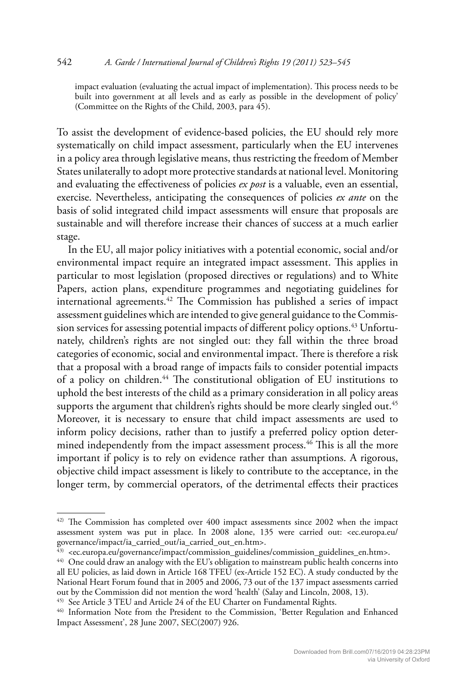impact evaluation (evaluating the actual impact of implementation). This process needs to be built into government at all levels and as early as possible in the development of policy' (Committee on the Rights of the Child, 2003, para 45).

 To assist the development of evidence-based policies, the EU should rely more systematically on child impact assessment, particularly when the EU intervenes in a policy area through legislative means, thus restricting the freedom of Member States unilaterally to adopt more protective standards at national level. Monitoring and evaluating the effectiveness of policies *ex post* is a valuable, even an essential, exercise. Nevertheless, anticipating the consequences of policies *ex ante* on the basis of solid integrated child impact assessments will ensure that proposals are sustainable and will therefore increase their chances of success at a much earlier stage.

 In the EU, all major policy initiatives with a potential economic, social and/or environmental impact require an integrated impact assessment. This applies in particular to most legislation (proposed directives or regulations) and to White Papers, action plans, expenditure programmes and negotiating guidelines for international agreements.<sup>42</sup> The Commission has published a series of impact assessment guidelines which are intended to give general guidance to the Commission services for assessing potential impacts of different policy options.<sup>43</sup> Unfortunately, children's rights are not singled out: they fall within the three broad categories of economic, social and environmental impact. There is therefore a risk that a proposal with a broad range of impacts fails to consider potential impacts of a policy on children.<sup>44</sup> The constitutional obligation of EU institutions to uphold the best interests of the child as a primary consideration in all policy areas supports the argument that children's rights should be more clearly singled out.<sup>45</sup> Moreover, it is necessary to ensure that child impact assessments are used to inform policy decisions, rather than to justify a preferred policy option determined independently from the impact assessment process.<sup>46</sup> This is all the more important if policy is to rely on evidence rather than assumptions. A rigorous, objective child impact assessment is likely to contribute to the acceptance, in the longer term, by commercial operators, of the detrimental effects their practices

45) See Article 3 TEU and Article 24 of the EU Charter on Fundamental Rights.

 $42)$  The Commission has completed over  $400$  impact assessments since 2002 when the impact assessment system was put in place. In 2008 alone, 135 were carried out: <ec.europa.eu/ governance/impact/ia\_carried\_out/ia\_carried\_out\_en.htm>.

 <sup>43) &</sup>lt;ec.europa.eu/governance/impact/commission\_guidelines/commission\_guidelines\_en.htm>.

 <sup>44)</sup> One could draw an analogy with the EU's obligation to mainstream public health concerns into all EU policies, as laid down in Article 168 TFEU (ex-Article 152 EC). A study conducted by the National Heart Forum found that in 2005 and 2006, 73 out of the 137 impact assessments carried out by the Commission did not mention the word 'health' (Salay and Lincoln, 2008, 13).

 <sup>46)</sup> Information Note from the President to the Commission, 'Better Regulation and Enhanced Impact Assessment', 28 June 2007, SEC(2007) 926.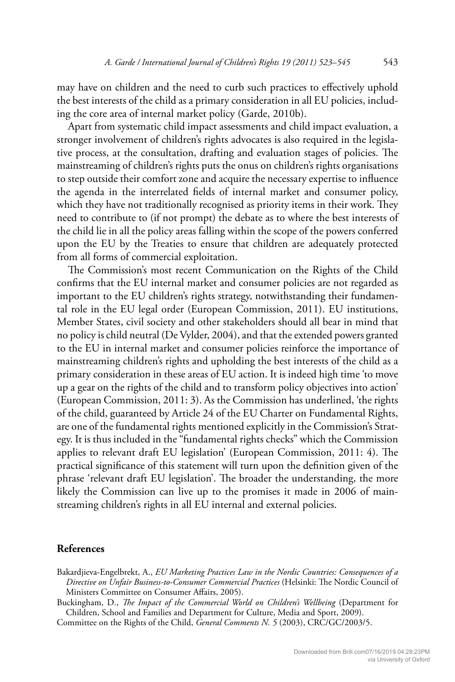may have on children and the need to curb such practices to effectively uphold the best interests of the child as a primary consideration in all EU policies, including the core area of internal market policy (Garde, 2010b).

 Apart from systematic child impact assessments and child impact evaluation, a stronger involvement of children's rights advocates is also required in the legislative process, at the consultation, drafting and evaluation stages of policies. The mainstreaming of children's rights puts the onus on children's rights organisations to step outside their comfort zone and acquire the necessary expertise to influence the agenda in the interrelated fields of internal market and consumer policy, which they have not traditionally recognised as priority items in their work. They need to contribute to (if not prompt) the debate as to where the best interests of the child lie in all the policy areas falling within the scope of the powers conferred upon the EU by the Treaties to ensure that children are adequately protected from all forms of commercial exploitation.

The Commission's most recent Communication on the Rights of the Child confirms that the EU internal market and consumer policies are not regarded as important to the EU children's rights strategy, notwithstanding their fundamental role in the EU legal order (European Commission, 2011). EU institutions, Member States, civil society and other stakeholders should all bear in mind that no policy is child neutral (De Vylder, 2004), and that the extended powers granted to the EU in internal market and consumer policies reinforce the importance of mainstreaming children's rights and upholding the best interests of the child as a primary consideration in these areas of EU action. It is indeed high time 'to move up a gear on the rights of the child and to transform policy objectives into action' (European Commission, 2011: 3). As the Commission has underlined, 'the rights of the child, guaranteed by Article 24 of the EU Charter on Fundamental Rights, are one of the fundamental rights mentioned explicitly in the Commission's Strategy. It is thus included in the "fundamental rights checks" which the Commission applies to relevant draft EU legislation' (European Commission, 2011: 4). The practical significance of this statement will turn upon the definition given of the phrase 'relevant draft EU legislation'. The broader the understanding, the more likely the Commission can live up to the promises it made in 2006 of mainstreaming children's rights in all EU internal and external policies.

## **References**

Bakardjieva-Engelbrekt, A., *EU Marketing Practices Law in the Nordic Countries: Consequences of a Directive on Unfair Business-to-Consumer Commercial Practices* (Helsinki: The Nordic Council of Ministers Committee on Consumer Affairs, 2005).

Buckingham, D., *The Impact of the Commercial World on Children's Wellbeing* (Department for Children, School and Families and Department for Culture, Media and Sport, 2009).

Committee on the Rights of the Child, *General Comments N. 5* (2003), CRC/GC/2003/5.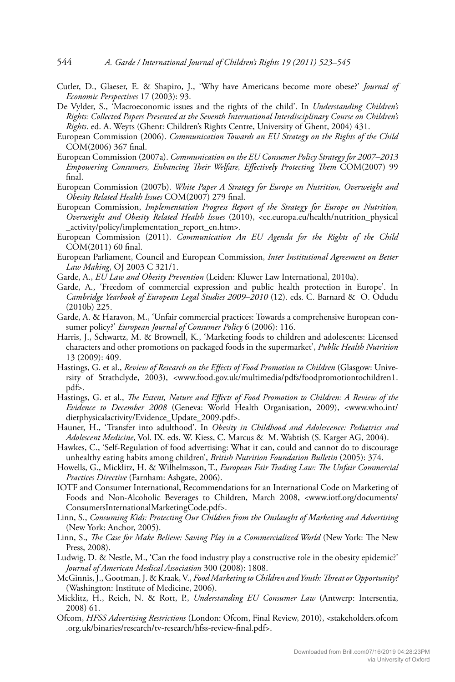- Cutler, D., Glaeser, E. & Shapiro, J., 'Why have Americans become more obese?' *Journal of Economic Perspectives* 17 (2003): 93.
- De Vylder, S., Macroeconomic issues and the rights of the child'. In *Understanding Children's Rights: Collected Papers Presented at the Seventh International Interdisciplinary Course on Children's Rights*. ed. A. Weyts (Ghent: Children's Rights Centre, University of Ghent, 2004) 431.
- European Commission (2006). *Communication Towards an EU Strategy on the Rights of the Child* COM(2006) 367 final.
- European Commission ( 2007a ). *Communication on the EU Consumer Policy Strategy for 2007–2013 Empowering Consumers, Enhancing Their Welfare, Effectively Protecting Them COM*(2007) 99 final.
- European Commission (2007b). *White Paper A Strategy for Europe on Nutrition, Overweight and Obesity Related Health Issues* COM(2007) 279 final.
- European Commission, *Implementation Progress Report of the Strategy for Europe on Nutrition*, *Overweight and Obesity Related Health Issues* ( 2010 ), < ec.europa.eu/health/nutrition\_physical activity/policy/implementation\_report\_en.htm>.
- European Commission ( 2011 ). *Communication An EU Agenda for the Rights of the Child* COM(2011) 60 final.
- European Parliament, Council and European Commission, *Inter Institutional Agreement on Better* Law Making, OJ 2003 C 321/1.
- Garde, A., *EU Law and Obesity Prevention* (Leiden: Kluwer Law International, 2010a).
- Garde, A., 'Freedom of commercial expression and public health protection in Europe'. In *Cambridge Yearbook of European Legal Studies 2009–2010* ( 12 ). eds. C. Barnard & O. Odudu  $(2010b) 225.$
- Garde, A. & Haravon, M., 'Unfair commercial practices: Towards a comprehensive European consumer policy?' *European Journal of Consumer Policy* 6 (2006): 116.
- Harris, J., Schwartz, M. & Brownell, K., 'Marketing foods to children and adolescents: Licensed characters and other promotions on packaged foods in the supermarket' , *Public Health Nutrition* 13 (2009): 409.
- Hastings, G. et al., *Review of Research on the Effects of Food Promotion to Children* (Glasgow: University of Strathclyde, 2003), <www.food.gov.uk/multimedia/pdfs/foodpromotiontochildren1. pdf>.
- Hastings, G. et al., *The Extent, Nature and Effects of Food Promotion to Children: A Review of the Evidence to December 2008* (Geneva: World Health Organisation, 2009), <www.who.int/ dietphysicalactivity/Evidence\_Update\_2009.pdf> .
- Hauner, H., 'Transfer into adulthood'. In Obesity in Childhood and Adolescence: Pediatrics and Adolescent Medicine, Vol. IX. eds. W. Kiess, C. Marcus & M. Wabtish (S. Karger AG, 2004).
- Hawkes, C., 'Self-Regulation of food advertising: What it can, could and cannot do to discourage unhealthy eating habits among children', *British Nutrition Foundation Bulletin* (2005): 374.
- Howells, G., Micklitz, H. & Wilhelmsson, T., *European Fair Trading Law: The Unfair Commercial* Practices Directive (Farnham: Ashgate, 2006).
- IOTF and Consumer International , Recommendations for an International Code on Marketing of Foods and Non-Alcoholic Beverages to Children, March 2008, <www.iotf.org/documents/ ConsumersInternationalMarketingCode.pdf>.
- Linn , S. , *Consuming Kids: Protecting Our Children from the Onslaught of Marketing and Advertising* (New York: Anchor, 2005).
- Linn, S., *The Case for Make Believe: Saving Play in a Commercialized World* (New York: The New Press, 2008).
- Ludwig, D. & Nestle, M., 'Can the food industry play a constructive role in the obesity epidemic?' *Journal of American Medical Association* 300 ( 2008 ): 1808 .
- McGinnis , J. , Gootman , J. & Kraak , V. , *Food Marketing to Children and Youth: Th reat or Opportunity?* (Washington: Institute of Medicine, 2006).
- Micklitz, H., Reich, N. & Rott, P., *Understanding EU Consumer Law* (Antwerp: Intersentia, 2008) 61.
- Ofcom, HFSS Advertising Restrictions (London: Ofcom, Final Review, 2010), <stakeholders.ofcom .org.uk/binaries/research/tv-research/hfss-review-final.pdf>.